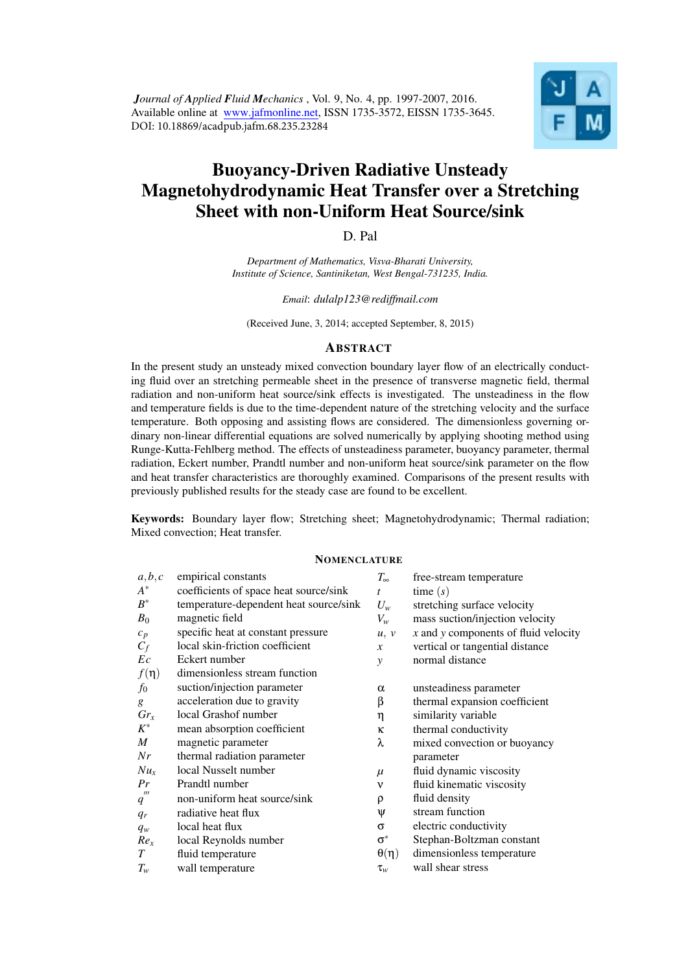*Journal of Applied Fluid Mechanics* , Vol. 9, No. 4, pp. 1997-2007, 2016. Available online at www.jafmonline.net, ISSN 1735-3572, EISSN 1735-3645. DOI: 10.18869/acadpub.jafm.68.235.23284



# Buoyancy-Driven Radiative Unsteady Magnetohydrodynamic Heat Transfer over a Stretching Sheet with non-Uniform Heat Source/sink

D. Pal

*Department of Mathematics, Visva-Bharati University, Institute of Science, Santiniketan, West Bengal-731235, India.*

*Email*: *dulalp123@rediffmail.com*

(Received June, 3, 2014; accepted September, 8, 2015)

## **ABSTRACT**

In the present study an unsteady mixed convection boundary layer flow of an electrically conducting fluid over an stretching permeable sheet in the presence of transverse magnetic field, thermal radiation and non-uniform heat source/sink effects is investigated. The unsteadiness in the flow and temperature fields is due to the time-dependent nature of the stretching velocity and the surface temperature. Both opposing and assisting flows are considered. The dimensionless governing ordinary non-linear differential equations are solved numerically by applying shooting method using Runge-Kutta-Fehlberg method. The effects of unsteadiness parameter, buoyancy parameter, thermal radiation, Eckert number, Prandtl number and non-uniform heat source/sink parameter on the flow and heat transfer characteristics are thoroughly examined. Comparisons of the present results with previously published results for the steady case are found to be excellent.

Keywords: Boundary layer flow; Stretching sheet; Magnetohydrodynamic; Thermal radiation; Mixed convection; Heat transfer.

#### **NOMENCLATURE**

| a,b,c                                       | empirical constants                    | $T_{\infty}$   | free-stream temperature                  |
|---------------------------------------------|----------------------------------------|----------------|------------------------------------------|
| $A^*$                                       | coefficients of space heat source/sink | $\mathbf{f}$   | time $(s)$                               |
| $B^{\ast}$                                  | temperature-dependent heat source/sink | $U_w$          | stretching surface velocity              |
| $B_0$                                       | magnetic field                         | $V_w$          | mass suction/injection velocity          |
| $c_p$                                       | specific heat at constant pressure     | u, v           | $x$ and $y$ components of fluid velocity |
| $C_f$                                       | local skin-friction coefficient        | $\mathcal{X}$  | vertical or tangential distance          |
| Ec                                          | Eckert number                          | y              | normal distance                          |
| $f(\eta)$                                   | dimensionless stream function          |                |                                          |
| $f_0$                                       | suction/injection parameter            | $\alpha$       | unsteadiness parameter                   |
| g                                           | acceleration due to gravity            | β              | thermal expansion coefficient            |
| $Gr_x$                                      | local Grashof number                   | η              | similarity variable                      |
| $K^*$                                       | mean absorption coefficient            | κ              | thermal conductivity                     |
| M                                           | magnetic parameter                     | λ              | mixed convection or buoyancy             |
| Nr                                          | thermal radiation parameter            |                | parameter                                |
| $Nu_{x}$                                    | local Nusselt number                   | $\mu$          | fluid dynamic viscosity                  |
| Pr                                          | Prandtl number                         | ν              | fluid kinematic viscosity                |
| $^{\prime\prime\prime}$<br>$\boldsymbol{q}$ | non-uniform heat source/sink           | ρ              | fluid density                            |
| $q_r$                                       | radiative heat flux                    | Ψ              | stream function                          |
| $q_w$                                       | local heat flux                        | σ              | electric conductivity                    |
| Re <sub>x</sub>                             | local Reynolds number                  | $\sigma^*$     | Stephan-Boltzman constant                |
| T                                           | fluid temperature                      | $\theta(\eta)$ | dimensionless temperature                |
| $T_{w}$                                     | wall temperature                       | $\tau_{w}$     | wall shear stress                        |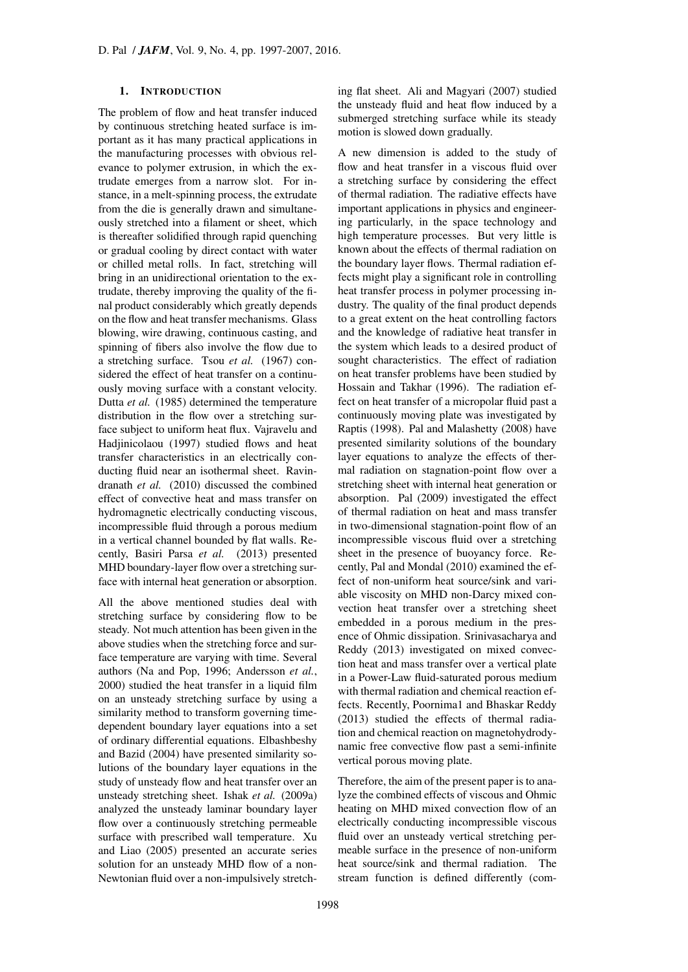### 1. INTRODUCTION

The problem of flow and heat transfer induced by continuous stretching heated surface is important as it has many practical applications in the manufacturing processes with obvious relevance to polymer extrusion, in which the extrudate emerges from a narrow slot. For instance, in a melt-spinning process, the extrudate from the die is generally drawn and simultaneously stretched into a filament or sheet, which is thereafter solidified through rapid quenching or gradual cooling by direct contact with water or chilled metal rolls. In fact, stretching will bring in an unidirectional orientation to the extrudate, thereby improving the quality of the final product considerably which greatly depends on the flow and heat transfer mechanisms. Glass blowing, wire drawing, continuous casting, and spinning of fibers also involve the flow due to a stretching surface. Tsou *et al.* (1967) considered the effect of heat transfer on a continuously moving surface with a constant velocity. Dutta *et al.* (1985) determined the temperature distribution in the flow over a stretching surface subject to uniform heat flux. Vajravelu and Hadjinicolaou (1997) studied flows and heat transfer characteristics in an electrically conducting fluid near an isothermal sheet. Ravindranath *et al.* (2010) discussed the combined effect of convective heat and mass transfer on hydromagnetic electrically conducting viscous, incompressible fluid through a porous medium in a vertical channel bounded by flat walls. Recently, Basiri Parsa *et al.* (2013) presented MHD boundary-layer flow over a stretching surface with internal heat generation or absorption.

All the above mentioned studies deal with stretching surface by considering flow to be steady. Not much attention has been given in the above studies when the stretching force and surface temperature are varying with time. Several authors (Na and Pop, 1996; Andersson *et al.*, 2000) studied the heat transfer in a liquid film on an unsteady stretching surface by using a similarity method to transform governing timedependent boundary layer equations into a set of ordinary differential equations. Elbashbeshy and Bazid (2004) have presented similarity solutions of the boundary layer equations in the study of unsteady flow and heat transfer over an unsteady stretching sheet. Ishak *et al.* (2009a) analyzed the unsteady laminar boundary layer flow over a continuously stretching permeable surface with prescribed wall temperature. Xu and Liao (2005) presented an accurate series solution for an unsteady MHD flow of a non-Newtonian fluid over a non-impulsively stretching flat sheet. Ali and Magyari (2007) studied the unsteady fluid and heat flow induced by a submerged stretching surface while its steady motion is slowed down gradually.

A new dimension is added to the study of flow and heat transfer in a viscous fluid over a stretching surface by considering the effect of thermal radiation. The radiative effects have important applications in physics and engineering particularly, in the space technology and high temperature processes. But very little is known about the effects of thermal radiation on the boundary layer flows. Thermal radiation effects might play a significant role in controlling heat transfer process in polymer processing industry. The quality of the final product depends to a great extent on the heat controlling factors and the knowledge of radiative heat transfer in the system which leads to a desired product of sought characteristics. The effect of radiation on heat transfer problems have been studied by Hossain and Takhar (1996). The radiation effect on heat transfer of a micropolar fluid past a continuously moving plate was investigated by Raptis (1998). Pal and Malashetty (2008) have presented similarity solutions of the boundary layer equations to analyze the effects of thermal radiation on stagnation-point flow over a stretching sheet with internal heat generation or absorption. Pal (2009) investigated the effect of thermal radiation on heat and mass transfer in two-dimensional stagnation-point flow of an incompressible viscous fluid over a stretching sheet in the presence of buoyancy force. Recently, Pal and Mondal (2010) examined the effect of non-uniform heat source/sink and variable viscosity on MHD non-Darcy mixed convection heat transfer over a stretching sheet embedded in a porous medium in the presence of Ohmic dissipation. Srinivasacharya and Reddy (2013) investigated on mixed convection heat and mass transfer over a vertical plate in a Power-Law fluid-saturated porous medium with thermal radiation and chemical reaction effects. Recently, Poornima1 and Bhaskar Reddy (2013) studied the effects of thermal radiation and chemical reaction on magnetohydrodynamic free convective flow past a semi-infinite vertical porous moving plate.

Therefore, the aim of the present paper is to analyze the combined effects of viscous and Ohmic heating on MHD mixed convection flow of an electrically conducting incompressible viscous fluid over an unsteady vertical stretching permeable surface in the presence of non-uniform heat source/sink and thermal radiation. The stream function is defined differently (com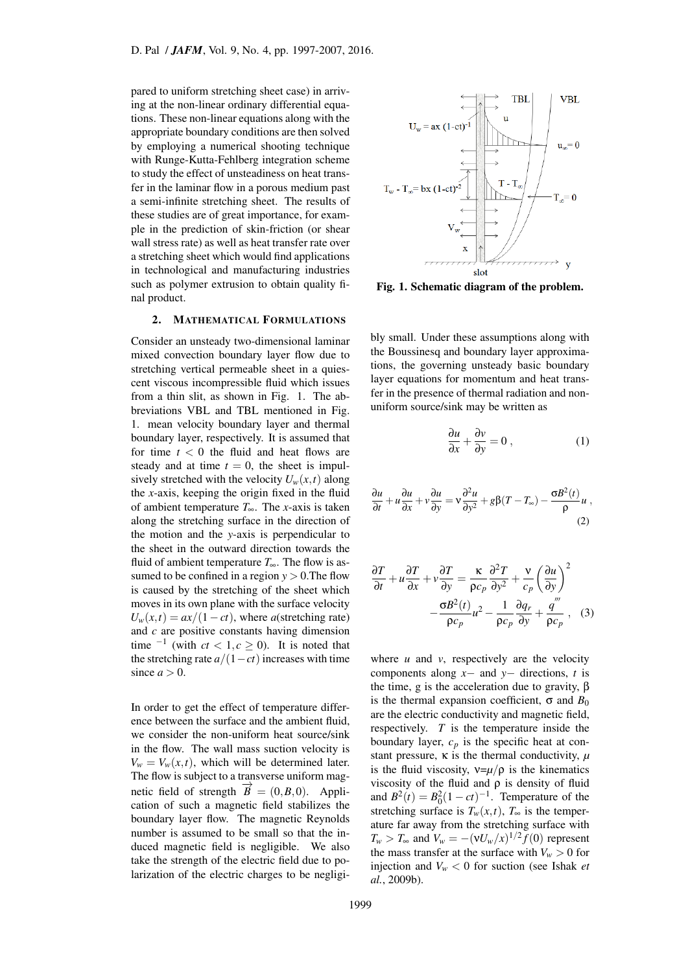pared to uniform stretching sheet case) in arriving at the non-linear ordinary differential equations. These non-linear equations along with the appropriate boundary conditions are then solved by employing a numerical shooting technique with Runge-Kutta-Fehlberg integration scheme to study the effect of unsteadiness on heat transfer in the laminar flow in a porous medium past a semi-infinite stretching sheet. The results of these studies are of great importance, for example in the prediction of skin-friction (or shear wall stress rate) as well as heat transfer rate over a stretching sheet which would find applications in technological and manufacturing industries such as polymer extrusion to obtain quality final product.

#### 2. MATHEMATICAL FORMULATIONS

Consider an unsteady two-dimensional laminar mixed convection boundary layer flow due to stretching vertical permeable sheet in a quiescent viscous incompressible fluid which issues from a thin slit, as shown in Fig. 1. The abbreviations VBL and TBL mentioned in Fig. 1. mean velocity boundary layer and thermal boundary layer, respectively. It is assumed that for time  $t < 0$  the fluid and heat flows are steady and at time  $t = 0$ , the sheet is impulsively stretched with the velocity  $U_w(x,t)$  along the *x*-axis, keeping the origin fixed in the fluid of ambient temperature *T*∞. The *x*-axis is taken along the stretching surface in the direction of the motion and the *y*-axis is perpendicular to the sheet in the outward direction towards the fluid of ambient temperature *T*∞. The flow is assumed to be confined in a region  $y > 0$ . The flow is caused by the stretching of the sheet which moves in its own plane with the surface velocity  $U_w(x,t) = ax/(1-ct)$ , where *a*(stretching rate) and *c* are positive constants having dimension time <sup> $-1$ </sup> (with  $ct < 1, c \ge 0$ ). It is noted that the stretching rate  $a/(1-ct)$  increases with time since  $a > 0$ .

In order to get the effect of temperature difference between the surface and the ambient fluid, we consider the non-uniform heat source/sink in the flow. The wall mass suction velocity is  $V_w = V_w(x, t)$ , which will be determined later. The flow is subject to a transverse uniform magnetic field of strength  $\vec{B}$  = (0*,B,0*). Application of such a magnetic field stabilizes the boundary layer flow. The magnetic Reynolds number is assumed to be small so that the induced magnetic field is negligible. We also take the strength of the electric field due to polarization of the electric charges to be negligi-



Fig. 1. Schematic diagram of the problem.

bly small. Under these assumptions along with the Boussinesq and boundary layer approximations, the governing unsteady basic boundary layer equations for momentum and heat transfer in the presence of thermal radiation and nonuniform source/sink may be written as

$$
\frac{\partial u}{\partial x} + \frac{\partial v}{\partial y} = 0 , \qquad (1)
$$

$$
\frac{\partial u}{\partial t} + u \frac{\partial u}{\partial x} + v \frac{\partial u}{\partial y} = v \frac{\partial^2 u}{\partial y^2} + g \beta (T - T_{\infty}) - \frac{\sigma B^2(t)}{\rho} u ,
$$
\n(2)

$$
\frac{\partial T}{\partial t} + u \frac{\partial T}{\partial x} + v \frac{\partial T}{\partial y} = \frac{\kappa}{\rho c_p} \frac{\partial^2 T}{\partial y^2} + \frac{v}{c_p} \left(\frac{\partial u}{\partial y}\right)^2
$$

$$
-\frac{\sigma B^2(t)}{\rho c_p} u^2 - \frac{1}{\rho c_p} \frac{\partial q_r}{\partial y} + \frac{q'''}{\rho c_p}, \quad (3)
$$

where  $u$  and  $v$ , respectively are the velocity components along *x−* and *y−* directions, *t* is the time, g is the acceleration due to gravity, β is the thermal expansion coefficient,  $\sigma$  and  $B_0$ are the electric conductivity and magnetic field, respectively. *T* is the temperature inside the boundary layer,  $c_p$  is the specific heat at constant pressure,  $\kappa$  is the thermal conductivity,  $\mu$ is the fluid viscosity,  $v = \mu/\rho$  is the kinematics viscosity of the fluid and  $\rho$  is density of fluid and  $B^2(t) = B_0^2(1 - ct)^{-1}$ . Temperature of the stretching surface is  $T_w(x,t)$ ,  $T_\infty$  is the temperature far away from the stretching surface with  $T_w > T_\infty$  and  $V_w = -(\nu U_w / x)^{1/2} f(0)$  represent the mass transfer at the surface with  $V_w > 0$  for injection and  $V_w < 0$  for suction (see Ishak *et al.*, 2009b).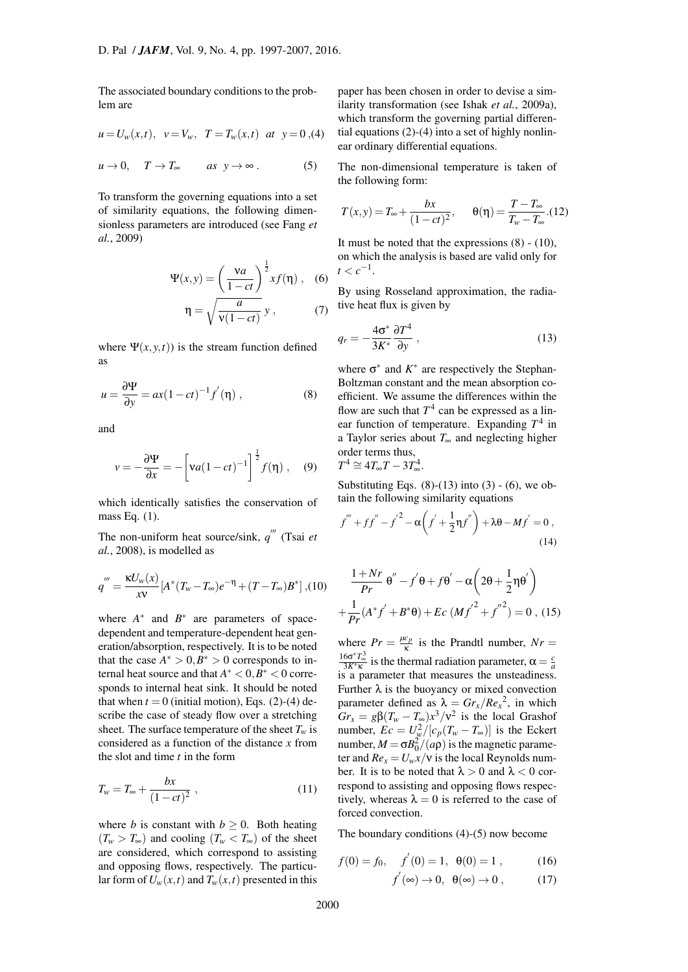The associated boundary conditions to the problem are

$$
u = U_w(x,t), \quad v = V_w, \quad T = T_w(x,t) \quad at \quad y = 0,
$$
 (4)

$$
u \to 0, \quad T \to T_{\infty} \qquad \text{as } y \to \infty \,.
$$
 (5)

To transform the governing equations into a set of similarity equations, the following dimensionless parameters are introduced (see Fang *et al.*, 2009)

$$
\Psi(x, y) = \left(\frac{va}{1 - ct}\right)^{\frac{1}{2}} x f(\eta), \quad (6)
$$

$$
\eta = \sqrt{\frac{a}{v(1 - ct)}} y, \quad (7)
$$

where  $\Psi(x, y, t)$  is the stream function defined as

$$
u = \frac{\partial \Psi}{\partial y} = ax(1 - ct)^{-1} f'(\eta) , \qquad (8)
$$

<span id="page-3-0"></span>and

$$
v = -\frac{\partial \Psi}{\partial x} = -\left[va(1 - ct)^{-1}\right]^{\frac{1}{2}} f(\eta) , \quad (9)
$$

which identically satisfies the conservation of mass Eq. (1).

The non-uniform heat source/sink, *q ′′′* (Tsai *et al.*, 2008), is modelled as

$$
q''' = \frac{\kappa U_w(x)}{xv} [A^*(T_w - T_\infty)e^{-\eta} + (T - T_\infty)B^*],
$$
 (10)

<span id="page-3-1"></span>where  $A^*$  and  $B^*$  are parameters of spacedependent and temperature-dependent heat generation/absorption, respectively. It is to be noted that the case  $A^* > 0, B^* > 0$  corresponds to in $t$  ternal heat source and that  $A^* < 0, B^* < 0$  corresponds to internal heat sink. It should be noted that when  $t = 0$  (initial motion), Eqs. (2)-(4) describe the case of steady flow over a stretching sheet. The surface temperature of the sheet  $T_w$  is considered as a function of the distance *x* from the slot and time *t* in the form

$$
T_w = T_{\infty} + \frac{bx}{(1 - ct)^2} , \qquad (11)
$$

where *b* is constant with  $b \geq 0$ . Both heating  $(T_w > T_\infty)$  and cooling  $(T_w < T_\infty)$  of the sheet are considered, which correspond to assisting and opposing flows, respectively. The particular form of  $U_w(x,t)$  and  $T_w(x,t)$  presented in this paper has been chosen in order to devise a similarity transformation (see Ishak *et al.*, 2009a), which transform the governing partial differential equations (2)-(4) into a set of highly nonlinear ordinary differential equations.

The non-dimensional temperature is taken of the following form:

$$
T(x,y) = T_{\infty} + \frac{bx}{(1 - ct)^2}, \quad \theta(\eta) = \frac{T - T_{\infty}}{T_w - T_{\infty}}.(12)
$$

It must be noted that the expressions  $(8) - (10)$ , on which the analysis is based are valid only for  $t < c^{-1}$ .

By using Rosseland approximation, t[he](#page-3-0) r[adia](#page-3-1)tive heat flux is given by

$$
q_r = -\frac{4\sigma^*}{3K^*} \frac{\partial T^4}{\partial y} \,,\tag{13}
$$

where  $\sigma^*$  and  $K^*$  are respectively the Stephan-Boltzman constant and the mean absorption coefficient. We assume the differences within the flow are such that  $T^4$  can be expressed as a linear function of temperature. Expanding  $T^4$  in a Taylor series about *T*∞ and neglecting higher order terms thus,  $T^4$ 4

$$
A^4 \cong 4T_{\infty}T - 3T_{\infty}^4.
$$

Substituting Eqs.  $(8)-(13)$  into  $(3)-(6)$ , we obtain the following similarity equations

$$
f''' + ff'' - f'^2 - \alpha \left(f' + \frac{1}{2}\eta f''\right) + \lambda \theta - Mf' = 0,
$$
\n(14)

<span id="page-3-2"></span>
$$
\frac{1+Nr}{Pr} \theta'' - f'\theta + f\theta' - \alpha \left(2\theta + \frac{1}{2}\eta\theta'\right)
$$

$$
+ \frac{1}{Pr}(A^*f' + B^*\theta) + Ec\left(Mf'^2 + f''^2\right) = 0 , (15)
$$

<span id="page-3-4"></span>where  $Pr = \frac{\mu c_p}{\kappa}$  is the Prandtl number,  $Nr =$  $\frac{16σ*T_{\infty}^3}{3K*_{\kappa}}$  is the thermal radiation parameter, α =  $\frac{c}{a}$ is a parameter that measures the unsteadiness. Further  $\lambda$  is the buoyancy or mixed convection parameter defined as  $\lambda = Gr_x/Re_x^2$ , in which  $Gr_x = g\beta(T_w - T_\infty)x^3/v^2$  is the local Grashof number,  $Ec = U_w^2/[c_p(T_w - T_w)]$  is the Eckert number,  $M = \sigma B_0^2 / (a\rho)$  is the magnetic parameter and  $Re_x = U_w x/v$  is the local Reynolds number. It is to be noted that  $\lambda > 0$  and  $\lambda < 0$  correspond to assisting and opposing flows respectively, whereas  $\lambda = 0$  is referred to the case of forced convection.

The boundary conditions (4)-(5) now become

<span id="page-3-3"></span>
$$
f(0) = f_0, \quad f'(0) = 1, \ \theta(0) = 1, \tag{16}
$$

$$
f'(\infty) \to 0, \ \ \theta(\infty) \to 0 \ , \tag{17}
$$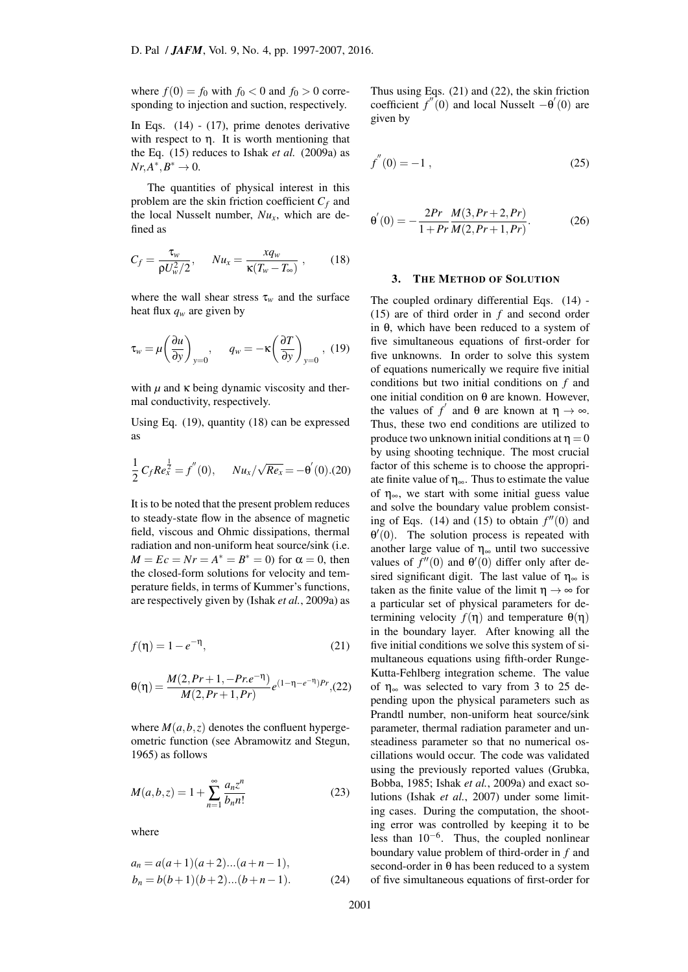where  $f(0) = f_0$  with  $f_0 < 0$  and  $f_0 > 0$  corresponding to injection and suction, respectively.

In Eqs. (14) - (17), prime denotes derivative with respect to  $\eta$ . It is worth mentioning that the Eq. (15) reduces to Ishak *et al.* (2009a) as  $Nr, A^*, B^* \to 0.$ 

The q[uan](#page-3-2)titi[es o](#page-3-3)f physical interest in this problem are the skin friction coefficient  $C_f$  and the local [Nu](#page-3-4)sselt number,  $Nu_x$ , which are defined as

$$
C_f = \frac{\tau_w}{\rho U_w^2/2}, \quad Nu_x = \frac{xq_w}{\kappa (T_w - T_\infty)}, \quad (18)
$$

<span id="page-4-1"></span>where the wall shear stress  $\tau_w$  and the surface heat flux *q<sup>w</sup>* are given by

$$
\tau_{w} = \mu \left( \frac{\partial u}{\partial y} \right)_{y=0}, \quad q_{w} = -\kappa \left( \frac{\partial T}{\partial y} \right)_{y=0}, (19)
$$

<span id="page-4-0"></span>with  $\mu$  and  $\kappa$  being dynamic viscosity and thermal conductivity, respectively.

Using Eq. (19), quantity (18) can be expressed as

$$
\frac{1}{2} C_f Re_x^{\frac{1}{2}} = f''(0), \qquad Nu_x/\sqrt{Re_x} = -\theta'(0). (20)
$$

It is to be noted that the present problem reduces to steady-state flow in the absence of magnetic field, viscous and Ohmic dissipations, thermal radiation and non-uniform heat source/sink (i.e. *M* = *Ec* = *Nr* = *A*<sup>\*</sup> = *B*<sup>\*</sup> = 0) for α = 0, then the closed-form solutions for velocity and temperature fields, in terms of Kummer's functions, are respectively given by (Ishak *et al.*, 2009a) as

$$
f(\eta) = 1 - e^{-\eta},\tag{21}
$$

$$
\theta(\eta) = \frac{M(2, Pr + 1, -Pr.e^{-\eta})}{M(2, Pr + 1, Pr)} e^{(1 - \eta - e^{-\eta})Pr}, (22)
$$

where  $M(a, b, z)$  denotes the confluent hypergeometric function (see Abramowitz and Stegun, 1965) as follows

$$
M(a,b,z) = 1 + \sum_{n=1}^{\infty} \frac{a_n z^n}{b_n n!}
$$
 (23)

where

$$
a_n = a(a+1)(a+2)...(a+n-1),
$$
  
\n
$$
b_n = b(b+1)(b+2)...(b+n-1).
$$
 (24)

Thus using Eqs. (21) and (22), the skin friction coefficient  $f''(0)$  and local Nusselt  $-\theta'(0)$  are given by

$$
f^{''}(0) = -1 \t{,} \t(25)
$$

$$
\theta'(0) = -\frac{2Pr}{1+Pr} \frac{M(3, Pr+2, Pr)}{M(2, Pr+1, Pr)}.
$$
 (26)

#### 3. THE METHOD OF SOLUTION

The coupled ordinary differential Eqs. (14) - (15) are of third order in *f* and second order in θ, which have been reduced to a system of five simultaneous equations of first-order for five unknowns. In order to solve this s[yste](#page-3-2)m [of e](#page-3-4)quations numerically we require five initial conditions but two initial conditions on *f* and one initial condition on θ are known. However, the values of  $f'$  and  $\theta$  are known at  $\eta \to \infty$ . Thus, these two end conditions are utilized to produce two unknown initial conditions at  $\eta = 0$ by using shooting technique. The most crucial factor of this scheme is to choose the appropriate finite value of  $\eta_{\infty}$ . Thus to estimate the value of  $\eta_{\infty}$ , we start with some initial guess value and solve the boundary value problem consisting of Eqs.  $(14)$  and  $(15)$  to obtain  $f''(0)$  and  $\theta'(0)$ . The solution process is repeated with another large value of  $\eta_{\infty}$  until two successive values of  $f''(0)$  and  $\theta'(0)$  differ only after desired signific[ant](#page-3-2) digit. [Th](#page-3-4)e last value of  $\eta_{\infty}$  is taken as the finite value of the limit  $\eta \rightarrow \infty$  for a particular set of physical parameters for determining velocity  $f(\eta)$  and temperature  $\theta(\eta)$ in the boundary layer. After knowing all the five initial conditions we solve this system of simultaneous equations using fifth-order Runge-Kutta-Fehlberg integration scheme. The value of  $\eta_{\infty}$  was selected to vary from 3 to 25 depending upon the physical parameters such as Prandtl number, non-uniform heat source/sink parameter, thermal radiation parameter and unsteadiness parameter so that no numerical oscillations would occur. The code was validated using the previously reported values (Grubka, Bobba, 1985; Ishak *et al.*, 2009a) and exact solutions (Ishak *et al.*, 2007) under some limiting cases. During the computation, the shooting error was controlled by keeping it to be less than 10*−*<sup>6</sup> . Thus, the coupled nonlinear boundary value problem of third-order in *f* and second-order in  $\theta$  has been reduced to a system of five simultaneous equations of first-order for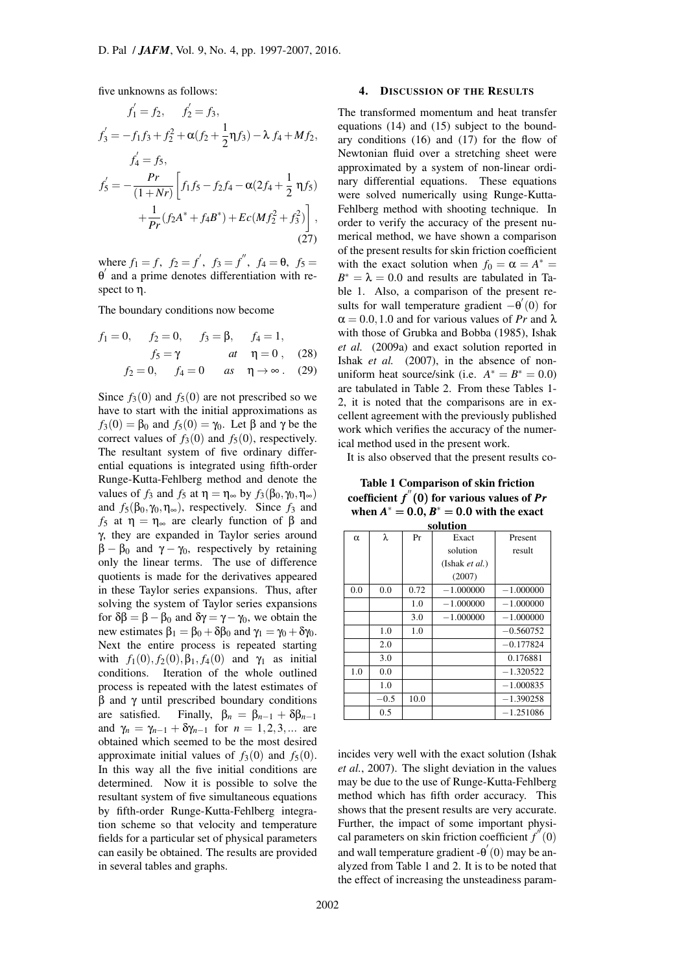five unknowns as follows:

$$
f'_1 = f_2, \t f'_2 = f_3,
$$
  
\n
$$
f'_3 = -f_1 f_3 + f_2^2 + \alpha (f_2 + \frac{1}{2} \eta f_3) - \lambda f_4 + M f_2,
$$
  
\n
$$
f'_4 = f_5,
$$
  
\n
$$
f'_5 = -\frac{Pr}{(1 + Nr)} \left[ f_1 f_5 - f_2 f_4 - \alpha (2 f_4 + \frac{1}{2} \eta f_5) + \frac{1}{Pr} (f_2 A^* + f_4 B^*) + Ec(M f_2^2 + f_3^2) \right],
$$
  
\n(27)

where  $f_1 = f$ ,  $f_2 = f'$ ,  $f_3 = f''$ ,  $f_4 = \theta$ ,  $f_5 =$ θ *′* and a prime denotes differentiation with respect to η.

The boundary conditions now become

$$
f_1 = 0,
$$
  $f_2 = 0,$   $f_3 = \beta,$   $f_4 = 1,$   
\n $f_5 = \gamma$  at  $\eta = 0$ , (28)  
\n $f_2 = 0,$   $f_4 = 0$  as  $\eta \to \infty$ . (29)

Since  $f_3(0)$  and  $f_5(0)$  are not prescribed so we have to start with the initial approximations as  $f_3(0) = \beta_0$  and  $f_5(0) = \gamma_0$ . Let  $\beta$  and  $\gamma$  be the correct values of  $f_3(0)$  and  $f_5(0)$ , respectively. The resultant system of five ordinary differential equations is integrated using fifth-order Runge-Kutta-Fehlberg method and denote the values of  $f_3$  and  $f_5$  at  $\eta = \eta_{\infty}$  by  $f_3(\beta_0, \gamma_0, \eta_{\infty})$ and  $f_5(\beta_0, \gamma_0, \eta_\infty)$ , respectively. Since  $f_3$  and *f*<sub>5</sub> at  $η = η_{\infty}$  are clearly function of β and γ, they are expanded in Taylor series around  $β - β<sub>0</sub>$  and γ – γ<sub>0</sub>, respectively by retaining only the linear terms. The use of difference quotients is made for the derivatives appeared in these Taylor series expansions. Thus, after solving the system of Taylor series expansions for  $δβ = β - β<sub>0</sub>$  and  $δγ = γ - γ<sub>0</sub>$ , we obtain the new estimates  $β_1 = β_0 + δβ_0$  and  $γ_1 = γ_0 + δγ_0$ . Next the entire process is repeated starting with  $f_1(0), f_2(0), \beta_1, f_4(0)$  and  $\gamma_1$  as initial conditions. Iteration of the whole outlined process is repeated with the latest estimates of β and γ until prescribed boundary conditions are satisfied. Finally,  $\beta_n = \beta_{n-1} + \delta \beta_{n-1}$ and  $\gamma_n = \gamma_{n-1} + \delta \gamma_{n-1}$  for  $n = 1, 2, 3, ...$  are obtained which seemed to be the most desired approximate initial values of  $f_3(0)$  and  $f_5(0)$ . In this way all the five initial conditions are determined. Now it is possible to solve the resultant system of five simultaneous equations by fifth-order Runge-Kutta-Fehlberg integration scheme so that velocity and temperature fields for a particular set of physical parameters can easily be obtained. The results are provided in several tables and graphs.

## 4. DISCUSSION OF THE RESULTS

The transformed momentum and heat transfer equations (14) and (15) subject to the boundary conditions (16) and (17) for the flow of Newtonian fluid over a stretching sheet were approximated by a system of non-linear ordinary differential equations. These equations were solved numerically using Runge-Kutta-Fehlberg method with shooting technique. In order to verify the accuracy of the present numerical method, we have shown a comparison of the present results for skin friction coefficient with the exact solution when  $f_0 = \alpha = A^*$  $B^* = \lambda = 0.0$  and results are tabulated in Table 1. Also, a comparison of the present results for wall temperature gradient *−*θ *′* (0) for  $\alpha = 0.0, 1.0$  and for various values of *Pr* and  $\lambda$ with those of Grubka and Bobba (1985), Ishak *et al.* (2009a) and exact solution reported in Ishak *et al.* (2007), in the absence of nonuniform heat source/sink (i.e.  $A^* = B^* = 0.0$ ) are tabulated in Table 2. From these Tables 1- 2, it is noted that the comparisons are in excellent agreement with the previously published work which verifies the accuracy of the numerical method used in the present work.

It is also observed that the present results co-

Table 1 Comparison of skin friction coefficient *f ′′*(0) for various values of *Pr* when  $A^* = 0.0, B^* = 0.0$  with the exact solution

|          | oviuuvii |      |                |             |  |  |  |  |
|----------|----------|------|----------------|-------------|--|--|--|--|
| $\alpha$ | λ        | Pr   | Exact          | Present     |  |  |  |  |
|          |          |      | solution       | result      |  |  |  |  |
|          |          |      | (Ishak et al.) |             |  |  |  |  |
|          |          |      | (2007)         |             |  |  |  |  |
| 0.0      | 0.0      | 0.72 | $-1.000000$    | $-1.000000$ |  |  |  |  |
|          |          | 1.0  | $-1.000000$    | $-1.000000$ |  |  |  |  |
|          |          | 3.0  | $-1.000000$    | $-1.000000$ |  |  |  |  |
|          | 1.0      | 1.0  |                | $-0.560752$ |  |  |  |  |
|          | 2.0      |      |                | $-0.177824$ |  |  |  |  |
|          | 3.0      |      |                | 0.176881    |  |  |  |  |
| 1.0      | 0.0      |      |                | $-1.320522$ |  |  |  |  |
|          | 1.0      |      |                | $-1.000835$ |  |  |  |  |
|          | $-0.5$   | 10.0 |                | $-1.390258$ |  |  |  |  |
|          | 0.5      |      |                | $-1.251086$ |  |  |  |  |

incides very well with the exact solution (Ishak *et al.*, 2007). The slight deviation in the values may be due to the use of Runge-Kutta-Fehlberg method which has fifth order accuracy. This shows that the present results are very accurate. Further, the impact of some important physical parameters on skin friction coefficient *f ′′*(0) and wall temperature gradient -θ *′* (0) may be analyzed from Table 1 and 2. It is to be noted that the effect of increasing the unsteadiness param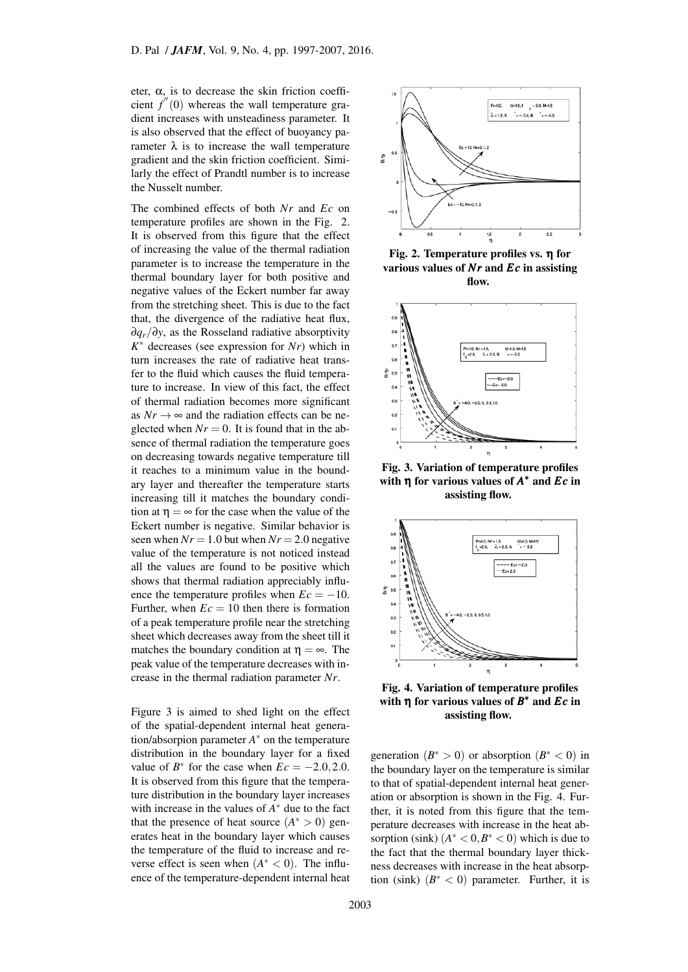eter,  $\alpha$ , is to decrease the skin friction coefficient  $f''(0)$  whereas the wall temperature gradient increases with unsteadiness parameter. It is also observed that the effect of buoyancy parameter  $\lambda$  is to increase the wall temperature gradient and the skin friction coefficient. Similarly the effect of Prandtl number is to increase the Nusselt number.

The combined effects of both *Nr* and *Ec* on temperature profiles are shown in the Fig. 2. It is observed from this figure that the effect of increasing the value of the thermal radiation parameter is to increase the temperature in the thermal boundary layer for both positive and negative values of the Eckert number far away from the stretching sheet. This is due to the fact that, the divergence of the radiative heat flux, ∂*qr/*∂*y*, as the Rosseland radiative absorptivity *K ∗* decreases (see expression for *Nr*) which in turn increases the rate of radiative heat transfer to the fluid which causes the fluid temperature to increase. In view of this fact, the effect of thermal radiation becomes more significant as  $Nr \rightarrow \infty$  and the radiation effects can be neglected when  $Nr = 0$ . It is found that in the absence of thermal radiation the temperature goes on decreasing towards negative temperature till it reaches to a minimum value in the boundary layer and thereafter the temperature starts increasing till it matches the boundary condition at  $\eta = \infty$  for the case when the value of the Eckert number is negative. Similar behavior is seen when  $Nr = 1.0$  but when  $Nr = 2.0$  negative value of the temperature is not noticed instead all the values are found to be positive which shows that thermal radiation appreciably influence the temperature profiles when  $Ec = -10$ . Further, when  $Ec = 10$  then there is formation of a peak temperature profile near the stretching sheet which decreases away from the sheet till it matches the boundary condition at  $\eta = \infty$ . The peak value of the temperature decreases with increase in the thermal radiation parameter *Nr*.

Figure 3 is aimed to shed light on the effect of the spatial-dependent internal heat generation/absorpion parameter *A ∗* on the temperature distribution in the boundary layer for a fixed value of  $B^*$  for the case when  $Ec = -2.0, 2.0$ . It is observed from this figure that the temperature distribution in the boundary layer increases with increase in the values of *A ∗* due to the fact that the presence of heat source  $(A^* > 0)$  generates heat in the boundary layer which causes the temperature of the fluid to increase and reverse effect is seen when  $(A^* < 0)$ . The influence of the temperature-dependent internal heat



Fig. 2. Temperature profiles vs. η for various values of *Nr* and *Ec* in assisting flow.



Fig. 3. Variation of temperature profiles with η for various values of *A ∗* and *Ec* in assisting flow.



Fig. 4. Variation of temperature profiles with η for various values of *B ∗* and *Ec* in assisting flow.

generation  $(B^* > 0)$  or absorption  $(B^* < 0)$  in the boundary layer on the temperature is similar to that of spatial-dependent internal heat generation or absorption is shown in the Fig. 4. Further, it is noted from this figure that the temperature decreases with increase in the heat absorption (sink)  $(A^* < 0, B^* < 0)$  which is due to the fact that the thermal boundary layer thickness decreases with increase in the heat absorption (sink)  $(B^* < 0)$  parameter. Further, it is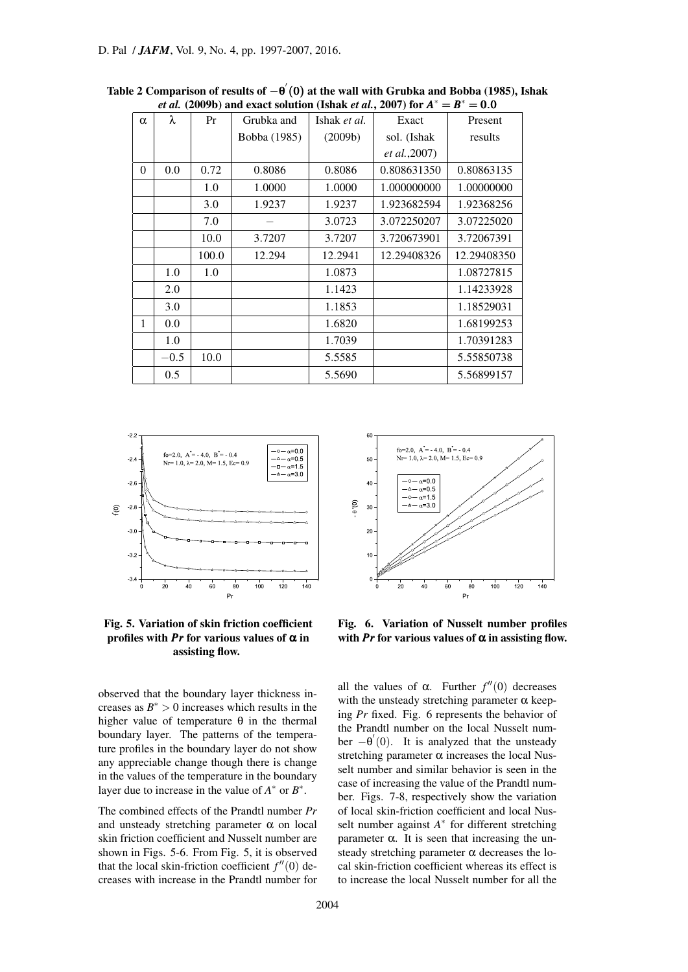| $\alpha$ | λ      | Pr      | Grubka and   | Ishak et al. | Exact                 | Present     |  |  |
|----------|--------|---------|--------------|--------------|-----------------------|-------------|--|--|
|          |        |         | Bobba (1985) | (2009b)      | sol. (Ishak           | results     |  |  |
|          |        |         |              |              | <i>et al.</i> , 2007) |             |  |  |
| $\Omega$ | 0.0    | 0.72    | 0.8086       | 0.8086       | 0.808631350           | 0.80863135  |  |  |
|          |        | $1.0\,$ | 1.0000       | 1.0000       | 1.000000000           | 1.00000000  |  |  |
|          |        | 3.0     | 1.9237       | 1.9237       | 1.923682594           | 1.92368256  |  |  |
|          |        | 7.0     |              | 3.0723       | 3.072250207           | 3.07225020  |  |  |
|          |        | 10.0    | 3.7207       | 3.7207       | 3.720673901           | 3.72067391  |  |  |
|          |        | 100.0   | 12.294       | 12.2941      | 12.29408326           | 12.29408350 |  |  |
|          | 1.0    | $1.0\,$ |              | 1.0873       |                       | 1.08727815  |  |  |
|          | 2.0    |         |              | 1.1423       |                       | 1.14233928  |  |  |
|          | 3.0    |         |              | 1.1853       |                       | 1.18529031  |  |  |
| 1        | 0.0    |         |              | 1.6820       |                       | 1.68199253  |  |  |
|          | 1.0    |         |              | 1.7039       |                       | 1.70391283  |  |  |
|          | $-0.5$ | 10.0    |              | 5.5585       |                       | 5.55850738  |  |  |
|          | 0.5    |         |              | 5.5690       |                       | 5.56899157  |  |  |

Table 2 Comparison of results of *−*θ *′* (0) at the wall with Grubka and Bobba (1985), Ishak *et al.* (2009b) and exact solution (Ishak *et al.*, 2007) for *A ∗* = *B ∗* = 0*.*0



Fig. 5. Variation of skin friction coefficient profiles with  $Pr$  for various values of  $\alpha$  in assisting flow.

observed that the boundary layer thickness increases as  $B^* > 0$  increases which results in the higher value of temperature  $\theta$  in the thermal boundary layer. The patterns of the temperature profiles in the boundary layer do not show any appreciable change though there is change in the values of the temperature in the boundary layer due to increase in the value of  $A^*$  or  $B^*$ .

The combined effects of the Prandtl number *Pr* and unsteady stretching parameter  $\alpha$  on local skin friction coefficient and Nusselt number are shown in Figs. 5-6. From Fig. 5, it is observed that the local skin-friction coefficient *f ′′*(0) decreases with increase in the Prandtl number for



Fig. 6. Variation of Nusselt number profiles with *Pr* for various values of  $\alpha$  in assisting flow.

all the values of  $\alpha$ . Further  $f''(0)$  decreases with the unsteady stretching parameter  $\alpha$  keeping *Pr* fixed. Fig. 6 represents the behavior of the Prandtl number on the local Nusselt number *−*θ *′* (0). It is analyzed that the unsteady stretching parameter  $\alpha$  increases the local Nusselt number and similar behavior is seen in the case of increasing the value of the Prandtl number. Figs. 7-8, respectively show the variation of local skin-friction coefficient and local Nusselt number against *A ∗* for different stretching parameter α. It is seen that increasing the unsteady stretching parameter  $\alpha$  decreases the local skin-friction coefficient whereas its effect is to increase the local Nusselt number for all the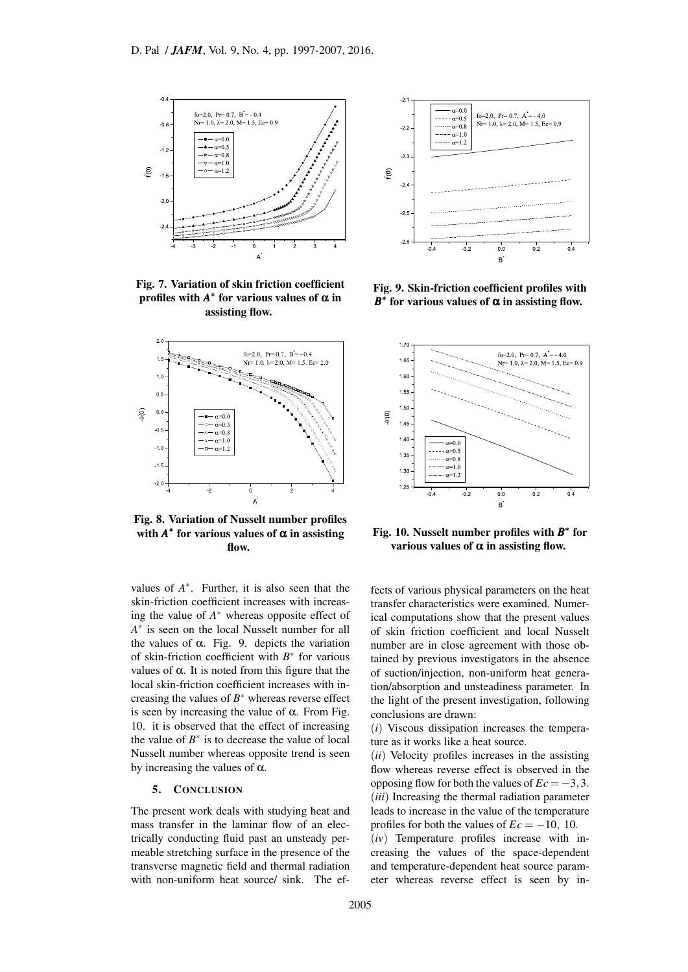

Fig. 7. Variation of skin friction coefficient profiles with  $A^*$  for various values of  $\alpha$  in assisting flow.



Fig. 8. Variation of Nusselt number profiles with  $A^*$  for various values of  $\alpha$  in assisting flow.

values of  $A^*$ . Further, it is also seen that the skin-friction coefficient increases with increasing the value of *A ∗* whereas opposite effect of *A ∗* is seen on the local Nusselt number for all the values of  $\alpha$ . Fig. 9. depicts the variation of skin-friction coefficient with *B ∗* for various values of α. It is noted from this figure that the local skin-friction coefficient increases with increasing the values of *B ∗* whereas reverse effect is seen by increasing the value of  $α$ . From Fig. 10. it is observed that the effect of increasing the value of  $B^*$  is to decrease the value of local Nusselt number whereas opposite trend is seen by increasing the values of  $\alpha$ .

### 5. CONCLUSION

The present work deals with studying heat and mass transfer in the laminar flow of an electrically conducting fluid past an unsteady permeable stretching surface in the presence of the transverse magnetic field and thermal radiation with non-uniform heat source/ sink. The ef-



Fig. 9. Skin-friction coefficient profiles with  $B^*$  for various values of  $\alpha$  in assisting flow.



Fig. 10. Nusselt number profiles with *B ∗* for various values of  $\alpha$  in assisting flow.

fects of various physical parameters on the heat transfer characteristics were examined. Numerical computations show that the present values of skin friction coefficient and local Nusselt number are in close agreement with those obtained by previous investigators in the absence of suction/injection, non-uniform heat generation/absorption and unsteadiness parameter. In the light of the present investigation, following conclusions are drawn:

(*i*) Viscous dissipation increases the temperature as it works like a heat source.

(*ii*) Velocity profiles increases in the assisting flow whereas reverse effect is observed in the opposing flow for both the values of  $Ec = -3, 3$ . (*iii*) Increasing the thermal radiation parameter leads to increase in the value of the temperature profiles for both the values of  $Ec = -10$ , 10.

(*iv*) Temperature profiles increase with increasing the values of the space-dependent and temperature-dependent heat source parameter whereas reverse effect is seen by in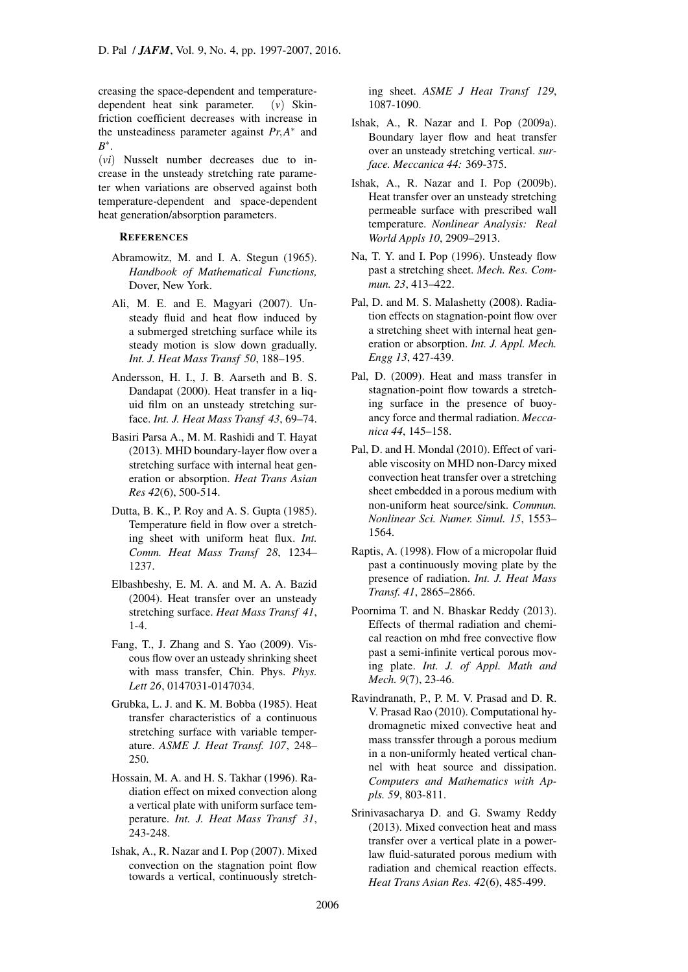creasing the space-dependent and temperaturedependent heat sink parameter. (*v*) Skinfriction coefficient decreases with increase in the unsteadiness parameter against *Pr,A ∗* and *B ∗* .

(*vi*) Nusselt number decreases due to increase in the unsteady stretching rate parameter when variations are observed against both temperature-dependent and space-dependent heat generation/absorption parameters.

### **REFERENCES**

- Abramowitz, M. and I. A. Stegun (1965). *Handbook of Mathematical Functions,* Dover, New York.
- Ali, M. E. and E. Magyari (2007). Unsteady fluid and heat flow induced by a submerged stretching surface while its steady motion is slow down gradually. *Int. J. Heat Mass Transf 50*, 188–195.
- Andersson, H. I., J. B. Aarseth and B. S. Dandapat (2000). Heat transfer in a liquid film on an unsteady stretching surface. *Int. J. Heat Mass Transf 43*, 69–74.
- Basiri Parsa A., M. M. Rashidi and T. Hayat (2013). MHD boundary-layer flow over a stretching surface with internal heat generation or absorption. *Heat Trans Asian Res 42*(6), 500-514.
- Dutta, B. K., P. Roy and A. S. Gupta (1985). Temperature field in flow over a stretching sheet with uniform heat flux. *Int. Comm. Heat Mass Transf 28*, 1234– 1237.
- Elbashbeshy, E. M. A. and M. A. A. Bazid (2004). Heat transfer over an unsteady stretching surface. *Heat Mass Transf 41*, 1-4.
- Fang, T., J. Zhang and S. Yao (2009). Viscous flow over an usteady shrinking sheet with mass transfer, Chin. Phys. *Phys. Lett 26*, 0147031-0147034.
- Grubka, L. J. and K. M. Bobba (1985). Heat transfer characteristics of a continuous stretching surface with variable temperature. *ASME J. Heat Transf. 107*, 248– 250.
- Hossain, M. A. and H. S. Takhar (1996). Radiation effect on mixed convection along a vertical plate with uniform surface temperature. *Int. J. Heat Mass Transf 31*, 243-248.
- Ishak, A., R. Nazar and I. Pop (2007). Mixed convection on the stagnation point flow towards a vertical, continuously stretch-

ing sheet. *ASME J Heat Transf 129*, 1087-1090.

- Ishak, A., R. Nazar and I. Pop (2009a). Boundary layer flow and heat transfer over an unsteady stretching vertical. *surface. Meccanica 44:* 369-375.
- Ishak, A., R. Nazar and I. Pop (2009b). Heat transfer over an unsteady stretching permeable surface with prescribed wall temperature. *Nonlinear Analysis: Real World Appls 10*, 2909–2913.
- Na, T. Y. and I. Pop (1996). Unsteady flow past a stretching sheet. *Mech. Res. Commun. 23*, 413–422.
- Pal, D. and M. S. Malashetty (2008). Radiation effects on stagnation-point flow over a stretching sheet with internal heat generation or absorption. *Int. J. Appl. Mech. Engg 13*, 427-439.
- Pal, D. (2009). Heat and mass transfer in stagnation-point flow towards a stretching surface in the presence of buoyancy force and thermal radiation. *Meccanica 44*, 145–158.
- Pal, D. and H. Mondal (2010). Effect of variable viscosity on MHD non-Darcy mixed convection heat transfer over a stretching sheet embedded in a porous medium with non-uniform heat source/sink. *Commun. Nonlinear Sci. Numer. Simul. 15*, 1553– 1564.
- Raptis, A. (1998). Flow of a micropolar fluid past a continuously moving plate by the presence of radiation. *Int. J. Heat Mass Transf. 41*, 2865–2866.
- Poornima T. and N. Bhaskar Reddy (2013). Effects of thermal radiation and chemical reaction on mhd free convective flow past a semi-infinite vertical porous moving plate. *Int. J. of Appl. Math and Mech. 9*(7), 23-46.
- Ravindranath, P., P. M. V. Prasad and D. R. V. Prasad Rao (2010). Computational hydromagnetic mixed convective heat and mass transsfer through a porous medium in a non-uniformly heated vertical channel with heat source and dissipation. *Computers and Mathematics with Appls. 59*, 803-811.
- Srinivasacharya D. and G. Swamy Reddy (2013). Mixed convection heat and mass transfer over a vertical plate in a powerlaw fluid-saturated porous medium with radiation and chemical reaction effects. *Heat Trans Asian Res. 42*(6), 485-499.